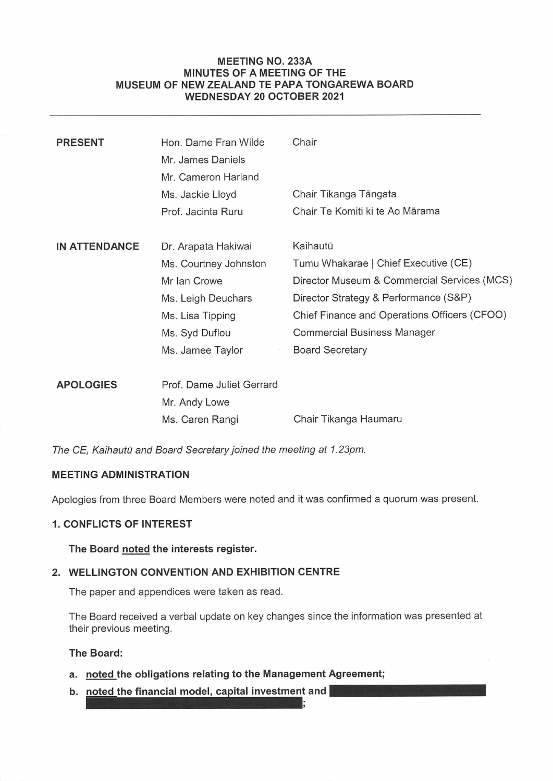# MEETING NO. 233A MINUTES OF A MEETING OF THE MUSEUM OF NEW ZEALAND TE PAPA TONGAREWA BOARD MEETING NO. 233A<br>MINUTES OF A MEETING OF THE<br>MUSEUM OF NEW ZEALAND TE PAPA TONGAREWA BOARD<br>WEDNESDAY 20 OCTOBER 2021 WEDNESDAY 20 OCTOBER 2021

| <b>PRESENT</b>       | Hon. Dame Fran Wilde<br>Mr. James Daniels<br>Mr. Cameron Harland | Chair                                        |
|----------------------|------------------------------------------------------------------|----------------------------------------------|
|                      | Ms. Jackie Lloyd                                                 | Chair Tikanga Tāngata                        |
|                      | Prof. Jacinta Ruru                                               | Chair Te Komiti ki te Ao Mārama              |
| <b>IN ATTENDANCE</b> | Dr. Arapata Hakiwai                                              | Kaihautū                                     |
|                      | Ms. Courtney Johnston                                            | Tumu Whakarae   Chief Executive (CE)         |
|                      | Mr Ian Crowe                                                     | Director Museum & Commercial Services (MCS)  |
|                      | Ms. Leigh Deuchars                                               | Director Strategy & Performance (S&P)        |
|                      | Ms. Lisa Tipping                                                 | Chief Finance and Operations Officers (CFOO) |
|                      | Ms. Syd Duflou                                                   | <b>Commercial Business Manager</b>           |
|                      | Ms. Jamee Taylor                                                 | <b>Board Secretary</b>                       |
| <b>APOLOGIES</b>     | Prof. Dame Juliet Gerrard                                        |                                              |
|                      | Mr. Andy Lowe                                                    |                                              |
|                      | Ms. Caren Rangi                                                  | Chair Tikanga Haumaru                        |

The CE, Kaihautū and Board Secretary joined the meeting at 1.23pm.

# MEETING ADMINISTRATION

Apologies from three Board Members were noted and it was confirmed a quorum was present.

### 1. CONFLICTS OF INTEREST

The Board noted the interests register.

# 2. WELLINGTON CONVENTION AND EXHIBITION CENTRE

The paper and appendices were taken as read.

The Board received a verbal update on key changes since the information was presented at their previous meeting. The paper and appendices were taken as read.<br>The Board received a verbal update on key changes since the information was presented at<br>their previous meeting.<br>The Board:<br>a. <u>noted the financial model, capital investment a</u>

# The Board:

- a. noted the obligations relating to the Management Agreement;
-